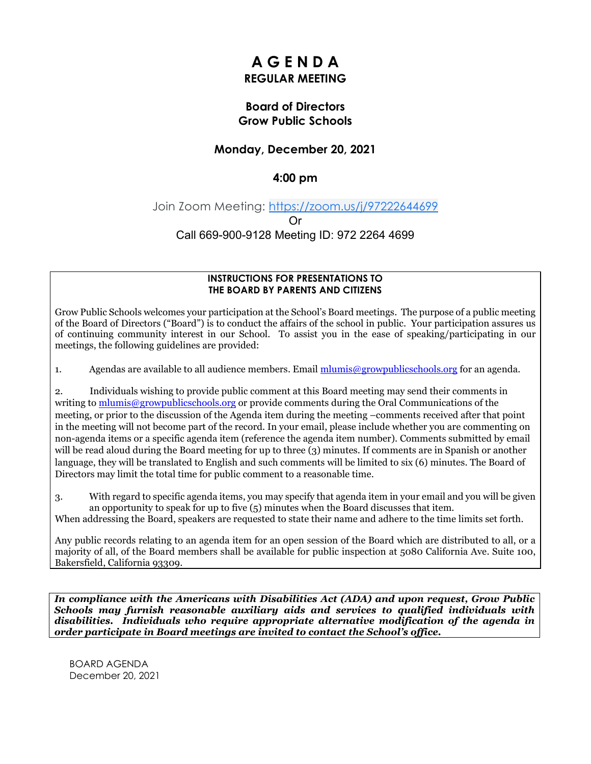# **A G E N D A REGULAR MEETING**

# **Board of Directors Grow Public Schools**

# **Monday, December 20, 2021**

# **4:00 pm**

# Join Zoom Meeting: [https://zoom.us/j/97222644699](https://www.google.com/url?q=https://zoom.us/j/97222644699&sa=D&source=calendar&ust=1640211331331993&usg=AOvVaw01xv6sVtmNej1W6gL7foGZ) Or Call 669-900-9128 Meeting ID: 972 2264 4699

#### **INSTRUCTIONS FOR PRESENTATIONS TO THE BOARD BY PARENTS AND CITIZENS**

Grow Public Schools welcomes your participation at the School's Board meetings. The purpose of a public meeting of the Board of Directors ("Board") is to conduct the affairs of the school in public. Your participation assures us of continuing community interest in our School. To assist you in the ease of speaking/participating in our meetings, the following guidelines are provided:

1. Agendas are available to all audience members. Email [mlumis@growpublicschools.org](mailto:mlumis@growpublicschools.org) for an agenda.

2. Individuals wishing to provide public comment at this Board meeting may send their comments in writing to [mlumis@growpublicschools.org](mailto:mlumis@growpublicschools.org) or provide comments during the Oral Communications of the meeting, or prior to the discussion of the Agenda item during the meeting –comments received after that point in the meeting will not become part of the record. In your email, please include whether you are commenting on non-agenda items or a specific agenda item (reference the agenda item number). Comments submitted by email will be read aloud during the Board meeting for up to three (3) minutes. If comments are in Spanish or another language, they will be translated to English and such comments will be limited to six (6) minutes. The Board of Directors may limit the total time for public comment to a reasonable time.

3. With regard to specific agenda items, you may specify that agenda item in your email and you will be given an opportunity to speak for up to five (5) minutes when the Board discusses that item.

When addressing the Board, speakers are requested to state their name and adhere to the time limits set forth.

Any public records relating to an agenda item for an open session of the Board which are distributed to all, or a majority of all, of the Board members shall be available for public inspection at 5080 California Ave. Suite 100, Bakersfield, California 93309.

*In compliance with the Americans with Disabilities Act (ADA) and upon request, Grow Public Schools may furnish reasonable auxiliary aids and services to qualified individuals with disabilities. Individuals who require appropriate alternative modification of the agenda in order participate in Board meetings are invited to contact the School's office.*

BOARD AGENDA December 20, 2021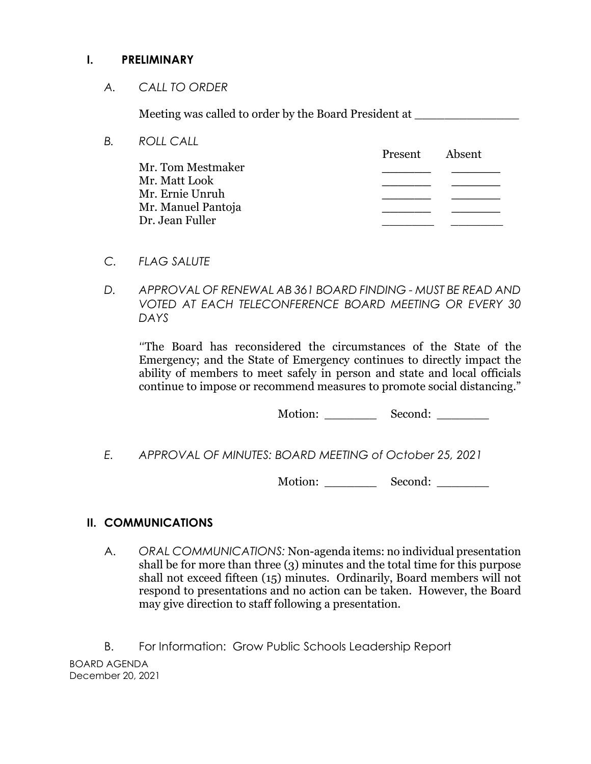# **I. PRELIMINARY**

*A. CALL TO ORDER*

Meeting was called to order by the Board President at

| В. | ROLL CALL          |         |        |
|----|--------------------|---------|--------|
|    |                    | Present | Absent |
|    | Mr. Tom Mestmaker  |         |        |
|    | Mr. Matt Look      |         |        |
|    | Mr. Ernie Unruh    |         |        |
|    | Mr. Manuel Pantoja |         |        |
|    | Dr. Jean Fuller    |         |        |
|    |                    |         |        |

- *C. FLAG SALUTE*
- *D. APPROVAL OF RENEWAL AB 361 BOARD FINDING - MUST BE READ AND VOTED AT EACH TELECONFERENCE BOARD MEETING OR EVERY 30 DAYS*

*"*The Board has reconsidered the circumstances of the State of the Emergency; and the State of Emergency continues to directly impact the ability of members to meet safely in person and state and local officials continue to impose or recommend measures to promote social distancing."

Motion: Second:

*E. APPROVAL OF MINUTES: BOARD MEETING of October 25, 2021*

Motion: \_\_\_\_\_\_\_\_\_\_\_ Second: \_\_\_\_\_\_\_\_

# **II. COMMUNICATIONS**

A. *ORAL COMMUNICATIONS:* Non-agenda items: no individual presentation shall be for more than three (3) minutes and the total time for this purpose shall not exceed fifteen (15) minutes. Ordinarily, Board members will not respond to presentations and no action can be taken. However, the Board may give direction to staff following a presentation.

BOARD AGENDA December 20, 2021 B. For Information: Grow Public Schools Leadership Report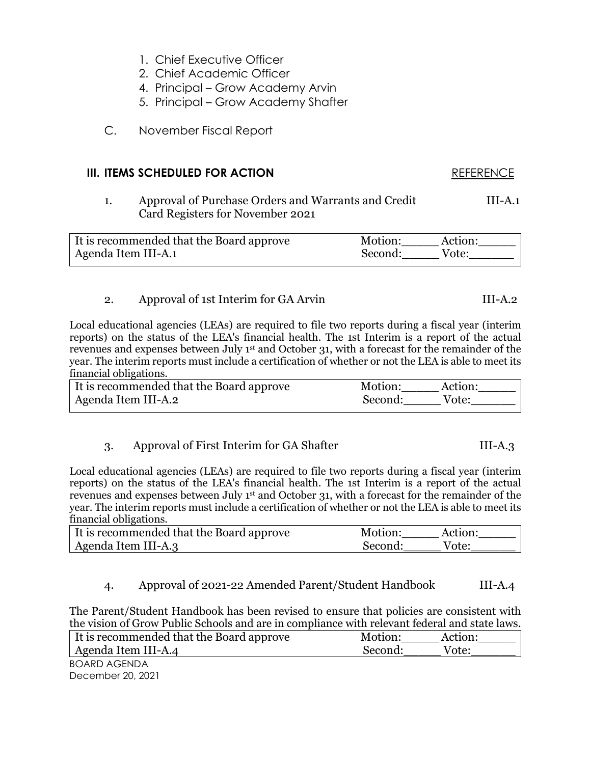- 1. Chief Executive Officer
- 2. Chief Academic Officer
- 4. Principal Grow Academy Arvin
- 5. Principal Grow Academy Shafter
- C. November Fiscal Report

#### **III. ITEMS SCHEDULED FOR ACTION** REFERENCE

1. Approval of Purchase Orders and Warrants and Credit III-A.1 Card Registers for November 2021

| It is recommended that the Board approve | Motion:<br>Action: |  |
|------------------------------------------|--------------------|--|
| Agenda Item III-A.1                      | Second:<br>Vote:   |  |

### 2. Approval of 1st Interim for GA Arvin III-A.2

Local educational agencies (LEAs) are required to file two reports during a fiscal year (interim reports) on the status of the LEA's financial health. The 1st Interim is a report of the actual revenues and expenses between July 1<sup>st</sup> and October 31, with a forecast for the remainder of the year. The interim reports must include a certification of whether or not the LEA is able to meet its financial obligations.

| It is recommended that the Board approve | Motion:<br>Action: |
|------------------------------------------|--------------------|
| Agenda Item III-A.2                      | Second:<br>Vote:   |

#### 3. Approval of First Interim for GA Shafter III-A.3

Local educational agencies (LEAs) are required to file two reports during a fiscal year (interim reports) on the status of the LEA's financial health. The 1st Interim is a report of the actual revenues and expenses between July 1st and October 31, with a forecast for the remainder of the year. The interim reports must include a certification of whether or not the LEA is able to meet its financial obligations.

| It is recommended that the Board approve | Motion:<br>Action: |
|------------------------------------------|--------------------|
| Agenda Item III-A.3                      | Second:<br>Vote:   |

# 4. Approval of 2021-22 Amended Parent/Student Handbook III-A.4

The Parent/Student Handbook has been revised to ensure that policies are consistent with the vision of Grow Public Schools and are in compliance with relevant federal and state laws.

| It is recommended that the Board approve | Motion:<br>Action: |  |
|------------------------------------------|--------------------|--|
| Agenda Item III-A.4                      | Second:<br>Vote:   |  |
| BOARD AGENDA                             |                    |  |

December 20, 2021